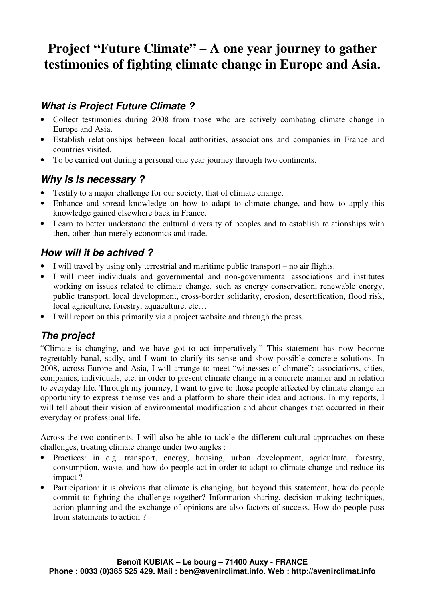# **Project "Future Climate" – A one year journey to gather testimonies of fighting climate change in Europe and Asia.**

# **What is Project Future Climate ?**

- Collect testimonies during 2008 from those who are actively combating climate change in Europe and Asia.
- Establish relationships between local authorities, associations and companies in France and countries visited.
- To be carried out during a personal one year journey through two continents.

## **Why is is necessary ?**

- Testify to a major challenge for our society, that of climate change.
- Enhance and spread knowledge on how to adapt to climate change, and how to apply this knowledge gained elsewhere back in France.
- Learn to better understand the cultural diversity of peoples and to establish relationships with then, other than merely economics and trade.

## **How will it be achived ?**

- I will travel by using only terrestrial and maritime public transport no air flights.
- I will meet individuals and governmental and non-governmental associations and institutes working on issues related to climate change, such as energy conservation, renewable energy, public transport, local development, cross-border solidarity, erosion, desertification, flood risk, local agriculture, forestry, aquaculture, etc…
- I will report on this primarily via a project website and through the press.

# **The project**

"Climate is changing, and we have got to act imperatively." This statement has now become regrettably banal, sadly, and I want to clarify its sense and show possible concrete solutions. In 2008, across Europe and Asia, I will arrange to meet "witnesses of climate": associations, cities, companies, individuals, etc. in order to present climate change in a concrete manner and in relation to everyday life. Through my journey, I want to give to those people affected by climate change an opportunity to express themselves and a platform to share their idea and actions. In my reports, I will tell about their vision of environmental modification and about changes that occurred in their everyday or professional life.

Across the two continents, I will also be able to tackle the different cultural approaches on these challenges, treating climate change under two angles :

- Practices: in e.g. transport, energy, housing, urban development, agriculture, forestry, consumption, waste, and how do people act in order to adapt to climate change and reduce its impact ?
- Participation: it is obvious that climate is changing, but beyond this statement, how do people commit to fighting the challenge together? Information sharing, decision making techniques, action planning and the exchange of opinions are also factors of success. How do people pass from statements to action ?